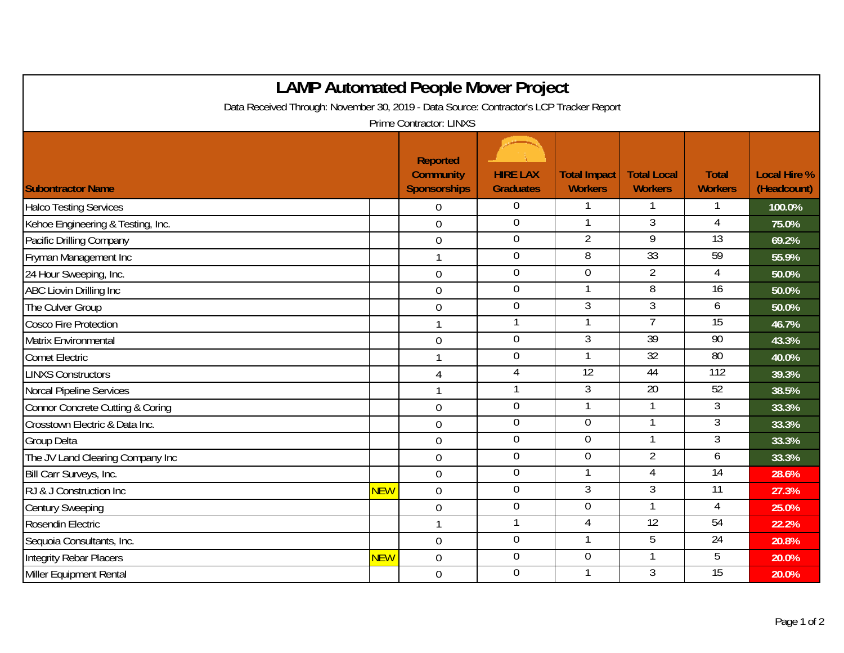| <b>LAMP Automated People Mover Project</b>                                                                         |            |                                                     |                                     |                                       |                                      |                                |                                    |  |  |  |  |  |
|--------------------------------------------------------------------------------------------------------------------|------------|-----------------------------------------------------|-------------------------------------|---------------------------------------|--------------------------------------|--------------------------------|------------------------------------|--|--|--|--|--|
| Data Received Through: November 30, 2019 - Data Source: Contractor's LCP Tracker Report<br>Prime Contractor: LINXS |            |                                                     |                                     |                                       |                                      |                                |                                    |  |  |  |  |  |
| <b>Subontractor Name</b>                                                                                           |            | Reported<br><b>Community</b><br><b>Sponsorships</b> | <b>HIRE LAX</b><br><b>Graduates</b> | <b>Total Impact</b><br><b>Workers</b> | <b>Total Local</b><br><b>Workers</b> | <b>Total</b><br><b>Workers</b> | <b>Local Hire %</b><br>(Headcount) |  |  |  |  |  |
| <b>Halco Testing Services</b>                                                                                      |            | $\Omega$                                            | $\Omega$                            |                                       |                                      |                                | 100.0%                             |  |  |  |  |  |
| Kehoe Engineering & Testing, Inc.                                                                                  |            | $\overline{0}$                                      | $\mathbf 0$                         | $\mathbf{1}$                          | $\overline{3}$                       | 4                              | 75.0%                              |  |  |  |  |  |
| Pacific Drilling Company                                                                                           |            | $\mathbf 0$                                         | $\boldsymbol{0}$                    | $\overline{2}$                        | 9                                    | $\overline{13}$                | 69.2%                              |  |  |  |  |  |
| Fryman Management Inc                                                                                              |            | $\mathbf{1}$                                        | $\overline{0}$                      | $\overline{8}$                        | 33                                   | 59                             | 55.9%                              |  |  |  |  |  |
| 24 Hour Sweeping, Inc.                                                                                             |            | $\mathbf 0$                                         | $\mathbf 0$                         | $\theta$                              | $\overline{2}$                       | 4                              | 50.0%                              |  |  |  |  |  |
| ABC Liovin Drilling Inc                                                                                            |            | $\overline{0}$                                      | $\mathbf 0$                         | $\mathbf{1}$                          | 8                                    | 16                             | 50.0%                              |  |  |  |  |  |
| The Culver Group                                                                                                   |            | $\overline{0}$                                      | $\overline{0}$                      | $\overline{3}$                        | $\overline{3}$                       | 6                              | 50.0%                              |  |  |  |  |  |
| Cosco Fire Protection                                                                                              |            | $\mathbf{1}$                                        | 1                                   | 1                                     | $\overline{7}$                       | 15                             | 46.7%                              |  |  |  |  |  |
| Matrix Environmental                                                                                               |            | $\mathbf 0$                                         | $\overline{0}$                      | $\overline{3}$                        | 39                                   | 90                             | 43.3%                              |  |  |  |  |  |
| <b>Comet Electric</b>                                                                                              |            | $\mathbf{1}$                                        | $\boldsymbol{0}$                    | $\mathbf{1}$                          | $\overline{32}$                      | 80                             | 40.0%                              |  |  |  |  |  |
| <b>LINXS Constructors</b>                                                                                          |            | $\overline{4}$                                      | $\overline{4}$                      | 12                                    | 44                                   | 112                            | 39.3%                              |  |  |  |  |  |
| Norcal Pipeline Services                                                                                           |            | $\mathbf{1}$                                        | 1                                   | $\mathfrak{Z}$                        | 20                                   | 52                             | 38.5%                              |  |  |  |  |  |
| Connor Concrete Cutting & Coring                                                                                   |            | $\overline{0}$                                      | $\overline{0}$                      | $\mathbf{1}$                          | 1                                    | $\overline{3}$                 | 33.3%                              |  |  |  |  |  |
| Crosstown Electric & Data Inc.                                                                                     |            | $\overline{0}$                                      | $\mathbf 0$                         | $\overline{0}$                        |                                      | 3                              | 33.3%                              |  |  |  |  |  |
| <b>Group Delta</b>                                                                                                 |            | $\overline{0}$                                      | $\boldsymbol{0}$                    | $\overline{0}$                        | -1                                   | 3                              | 33.3%                              |  |  |  |  |  |
| The JV Land Clearing Company Inc                                                                                   |            | $\mathbf 0$                                         | $\mathbf 0$                         | $\overline{0}$                        | $\overline{2}$                       | 6                              | 33.3%                              |  |  |  |  |  |
| Bill Carr Surveys, Inc.                                                                                            |            | $\overline{0}$                                      | $\boldsymbol{0}$                    | 1                                     | 4                                    | $\overline{14}$                | 28.6%                              |  |  |  |  |  |
| RJ & J Construction Inc                                                                                            | <b>NEW</b> | $\overline{0}$                                      | $\overline{0}$                      | $\overline{3}$                        | $\overline{3}$                       | 11                             | 27.3%                              |  |  |  |  |  |
| <b>Century Sweeping</b>                                                                                            |            | $\mathbf 0$                                         | $\boldsymbol{0}$                    | $\mathbf 0$                           | 1                                    | 4                              | 25.0%                              |  |  |  |  |  |
| Rosendin Electric                                                                                                  |            | $\mathbf{1}$                                        | $\mathbf{1}$                        | $\overline{4}$                        | 12                                   | 54                             | 22.2%                              |  |  |  |  |  |
| Sequoia Consultants, Inc.                                                                                          |            | $\overline{0}$                                      | $\boldsymbol{0}$                    | 1                                     | 5                                    | $\overline{24}$                | 20.8%                              |  |  |  |  |  |
| <b>Integrity Rebar Placers</b>                                                                                     | <b>NEW</b> | $\mathbf 0$                                         | $\overline{0}$                      | $\overline{0}$                        | 1                                    | 5                              | 20.0%                              |  |  |  |  |  |
| Miller Equipment Rental                                                                                            |            | $\mathbf 0$                                         | $\mathbf 0$                         |                                       | 3                                    | 15                             | 20.0%                              |  |  |  |  |  |